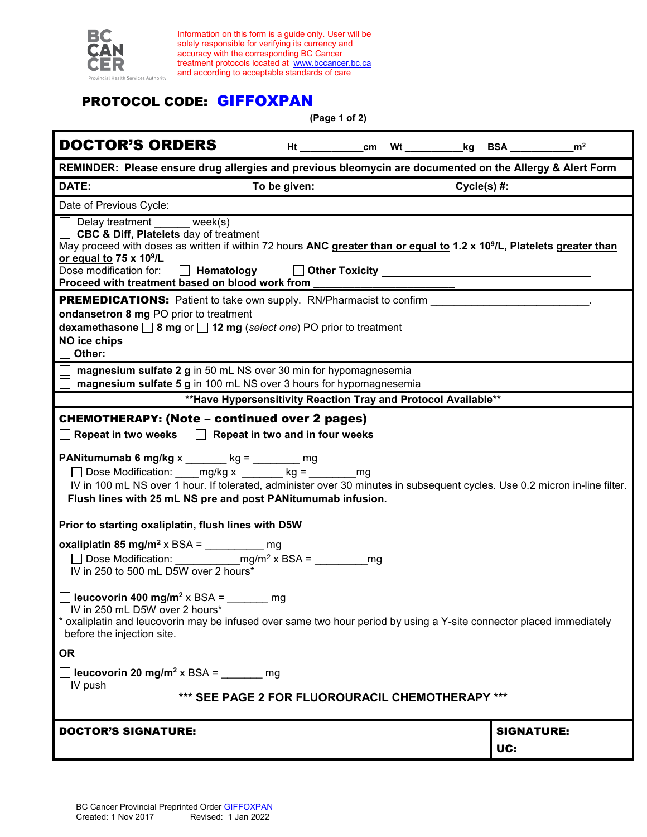|                                                                                                                                                                                      | Information on this form is a guide only. User will be                                                                     |              |               |                                                                        |             |                   |  |
|--------------------------------------------------------------------------------------------------------------------------------------------------------------------------------------|----------------------------------------------------------------------------------------------------------------------------|--------------|---------------|------------------------------------------------------------------------|-------------|-------------------|--|
| BC                                                                                                                                                                                   | solely responsible for verifying its currency and<br>accuracy with the corresponding BC Cancer                             |              |               |                                                                        |             |                   |  |
|                                                                                                                                                                                      | treatment protocols located at www.bccancer.bc.ca<br>and according to acceptable standards of care                         |              |               |                                                                        |             |                   |  |
| Provincial Health Services Authority                                                                                                                                                 |                                                                                                                            |              |               |                                                                        |             |                   |  |
|                                                                                                                                                                                      | <b>PROTOCOL CODE: GIFFOXPAN</b>                                                                                            |              |               |                                                                        |             |                   |  |
|                                                                                                                                                                                      |                                                                                                                            |              | (Page 1 of 2) |                                                                        |             |                   |  |
| <b>DOCTOR'S ORDERS</b>                                                                                                                                                               |                                                                                                                            |              |               | Ht _____________cm Wt ____________kg BSA _______________m <sup>2</sup> |             |                   |  |
| REMINDER: Please ensure drug allergies and previous bleomycin are documented on the Allergy & Alert Form                                                                             |                                                                                                                            |              |               |                                                                        |             |                   |  |
| DATE:                                                                                                                                                                                |                                                                                                                            | To be given: |               |                                                                        | Cycle(s) #: |                   |  |
| Date of Previous Cycle:                                                                                                                                                              |                                                                                                                            |              |               |                                                                        |             |                   |  |
| Delay treatment week(s)<br>□ CBC & Diff, Platelets day of treatment                                                                                                                  |                                                                                                                            |              |               |                                                                        |             |                   |  |
| May proceed with doses as written if within 72 hours ANC greater than or equal to 1.2 x 10 <sup>9</sup> /L, Platelets greater than                                                   |                                                                                                                            |              |               |                                                                        |             |                   |  |
| or equal to 75 x 10 <sup>9</sup> /L<br>Dose modification for:                                                                                                                        | $\Box$ Hematology                                                                                                          |              |               |                                                                        |             |                   |  |
| Proceed with treatment based on blood work from                                                                                                                                      |                                                                                                                            |              |               |                                                                        |             |                   |  |
| <b>PREMEDICATIONS:</b> Patient to take own supply. RN/Pharmacist to confirm                                                                                                          |                                                                                                                            |              |               |                                                                        |             |                   |  |
| ondansetron 8 mg PO prior to treatment<br>dexamethasone $\Box$ 8 mg or $\Box$ 12 mg (select one) PO prior to treatment                                                               |                                                                                                                            |              |               |                                                                        |             |                   |  |
| NO ice chips                                                                                                                                                                         |                                                                                                                            |              |               |                                                                        |             |                   |  |
| Other:                                                                                                                                                                               |                                                                                                                            |              |               |                                                                        |             |                   |  |
|                                                                                                                                                                                      | magnesium sulfate 2 g in 50 mL NS over 30 min for hypomagnesemia                                                           |              |               |                                                                        |             |                   |  |
| magnesium sulfate 5 g in 100 mL NS over 3 hours for hypomagnesemia<br>** Have Hypersensitivity Reaction Tray and Protocol Available**                                                |                                                                                                                            |              |               |                                                                        |             |                   |  |
|                                                                                                                                                                                      |                                                                                                                            |              |               |                                                                        |             |                   |  |
|                                                                                                                                                                                      |                                                                                                                            |              |               |                                                                        |             |                   |  |
| <b>CHEMOTHERAPY: (Note - continued over 2 pages)</b><br>$\Box$ Repeat in two weeks $\Box$ Repeat in two and in four weeks                                                            |                                                                                                                            |              |               |                                                                        |             |                   |  |
|                                                                                                                                                                                      |                                                                                                                            |              |               |                                                                        |             |                   |  |
| <b>PANitumumab 6 mg/kg</b> x _______ kg = ________ mg                                                                                                                                | □ Dose Modification: ____mg/kg x _______ kg = ________mg                                                                   |              |               |                                                                        |             |                   |  |
|                                                                                                                                                                                      | IV in 100 mL NS over 1 hour. If tolerated, administer over 30 minutes in subsequent cycles. Use 0.2 micron in-line filter. |              |               |                                                                        |             |                   |  |
|                                                                                                                                                                                      | Flush lines with 25 mL NS pre and post PANitumumab infusion.                                                               |              |               |                                                                        |             |                   |  |
| Prior to starting oxaliplatin, flush lines with D5W                                                                                                                                  |                                                                                                                            |              |               |                                                                        |             |                   |  |
| oxaliplatin 85 mg/m <sup>2</sup> x BSA = ___________ mg                                                                                                                              |                                                                                                                            |              |               |                                                                        |             |                   |  |
|                                                                                                                                                                                      |                                                                                                                            |              | mq            |                                                                        |             |                   |  |
|                                                                                                                                                                                      |                                                                                                                            |              |               |                                                                        |             |                   |  |
| $\Box$ leucovorin 400 mg/m <sup>2</sup> x BSA = ______ mg                                                                                                                            |                                                                                                                            |              |               |                                                                        |             |                   |  |
| IV in 250 mL D5W over 2 hours*<br>* oxaliplatin and leucovorin may be infused over same two hour period by using a Y-site connector placed immediately<br>before the injection site. |                                                                                                                            |              |               |                                                                        |             |                   |  |
| <b>OR</b>                                                                                                                                                                            |                                                                                                                            |              |               |                                                                        |             |                   |  |
| <b>Solution</b> 10 mg/m <sup>2</sup> x BSA = $\frac{1}{2}$ mg                                                                                                                        |                                                                                                                            |              |               |                                                                        |             |                   |  |
| IV push                                                                                                                                                                              |                                                                                                                            |              |               |                                                                        |             |                   |  |
|                                                                                                                                                                                      | *** SEE PAGE 2 FOR FLUOROURACIL CHEMOTHERAPY ***                                                                           |              |               |                                                                        |             |                   |  |
| <b>DOCTOR'S SIGNATURE:</b>                                                                                                                                                           |                                                                                                                            |              |               |                                                                        |             | <b>SIGNATURE:</b> |  |
|                                                                                                                                                                                      |                                                                                                                            |              |               |                                                                        |             | UC:               |  |